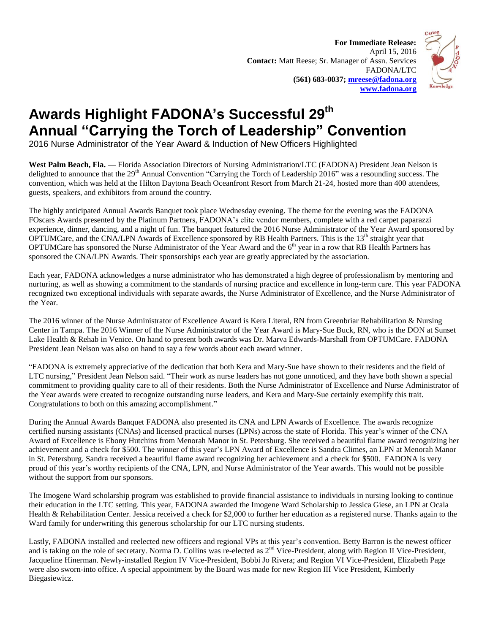**For Immediate Release:** April 15, 2016 **Contact:** Matt Reese; Sr. Manager of Assn. Services FADONA/LTC **(561) 683-0037; [mreese@fadona.org](mailto:mreese@fadona.org) [www.fadona.org](http://www.fadona.org/)**



## **Awards Highlight FADONA's Successful 29 th Annual "Carrying the Torch of Leadership" Convention**

2016 Nurse Administrator of the Year Award & Induction of New Officers Highlighted

**West Palm Beach, Fla. —** Florida Association Directors of Nursing Administration/LTC (FADONA) President Jean Nelson is delighted to announce that the 29<sup>th</sup> Annual Convention "Carrying the Torch of Leadership 2016" was a resounding success. The convention, which was held at the Hilton Daytona Beach Oceanfront Resort from March 21-24, hosted more than 400 attendees, guests, speakers, and exhibitors from around the country.

The highly anticipated Annual Awards Banquet took place Wednesday evening. The theme for the evening was the FADONA FOscars Awards presented by the Platinum Partners, FADONA's elite vendor members, complete with a red carpet paparazzi experience, dinner, dancing, and a night of fun. The banquet featured the 2016 Nurse Administrator of the Year Award sponsored by OPTUMCare, and the CNA/LPN Awards of Excellence sponsored by RB Health Partners. This is the 13<sup>th</sup> straight year that OPTUMCare has sponsored the Nurse Administrator of the Year Award and the 6<sup>th</sup> year in a row that RB Health Partners has sponsored the CNA/LPN Awards. Their sponsorships each year are greatly appreciated by the association.

Each year, FADONA acknowledges a nurse administrator who has demonstrated a high degree of professionalism by mentoring and nurturing, as well as showing a commitment to the standards of nursing practice and excellence in long-term care. This year FADONA recognized two exceptional individuals with separate awards, the Nurse Administrator of Excellence, and the Nurse Administrator of the Year.

The 2016 winner of the Nurse Administrator of Excellence Award is Kera Literal, RN from Greenbriar Rehabilitation & Nursing Center in Tampa. The 2016 Winner of the Nurse Administrator of the Year Award is Mary-Sue Buck, RN, who is the DON at Sunset Lake Health & Rehab in Venice. On hand to present both awards was Dr. Marva Edwards-Marshall from OPTUMCare. FADONA President Jean Nelson was also on hand to say a few words about each award winner.

"FADONA is extremely appreciative of the dedication that both Kera and Mary-Sue have shown to their residents and the field of LTC nursing," President Jean Nelson said. "Their work as nurse leaders has not gone unnoticed, and they have both shown a special commitment to providing quality care to all of their residents. Both the Nurse Administrator of Excellence and Nurse Administrator of the Year awards were created to recognize outstanding nurse leaders, and Kera and Mary-Sue certainly exemplify this trait. Congratulations to both on this amazing accomplishment."

During the Annual Awards Banquet FADONA also presented its CNA and LPN Awards of Excellence. The awards recognize certified nursing assistants (CNAs) and licensed practical nurses (LPNs) across the state of Florida. This year's winner of the CNA Award of Excellence is Ebony Hutchins from Menorah Manor in St. Petersburg. She received a beautiful flame award recognizing her achievement and a check for \$500. The winner of this year's LPN Award of Excellence is Sandra Climes, an LPN at Menorah Manor in St. Petersburg. Sandra received a beautiful flame award recognizing her achievement and a check for \$500. FADONA is very proud of this year's worthy recipients of the CNA, LPN, and Nurse Administrator of the Year awards. This would not be possible without the support from our sponsors.

The Imogene Ward scholarship program was established to provide financial assistance to individuals in nursing looking to continue their education in the LTC setting. This year, FADONA awarded the Imogene Ward Scholarship to Jessica Giese, an LPN at Ocala Health & Rehabilitation Center. Jessica received a check for \$2,000 to further her education as a registered nurse. Thanks again to the Ward family for underwriting this generous scholarship for our LTC nursing students.

Lastly, FADONA installed and reelected new officers and regional VPs at this year's convention. Betty Barron is the newest officer and is taking on the role of secretary. Norma D. Collins was re-elected as 2<sup>nd</sup> Vice-President, along with Region II Vice-President, Jacqueline Hinerman. Newly-installed Region IV Vice-President, Bobbi Jo Rivera; and Region VI Vice-President, Elizabeth Page were also sworn-into office. A special appointment by the Board was made for new Region III Vice President, Kimberly Biegasiewicz.